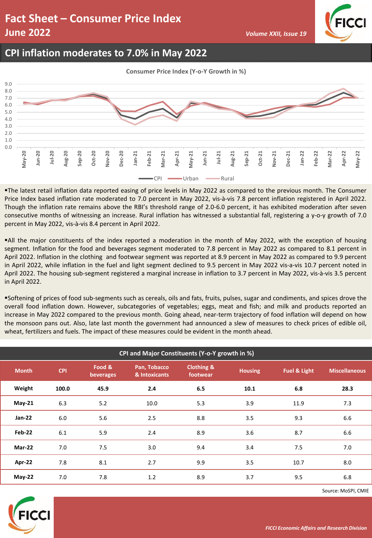# **Fact Sheet – Consumer Price Index June 2022** *Volume XXII, Issue 19 Volume XXII, Issue 19*



#### **CPI inflation moderates to 7.0% in May 2022**

**Consumer Price Index (Y-o-Y Growth in %)**



▪The latest retail inflation data reported easing of price levels in May 2022 as compared to the previous month. The Consumer Price Index based inflation rate moderated to 7.0 percent in May 2022, vis-à-vis 7.8 percent inflation registered in April 2022. Though the inflation rate remains above the RBI's threshold range of 2.0-6.0 percent, it has exhibited moderation after seven consecutive months of witnessing an increase. Rural inflation has witnessed a substantial fall, registering a y-o-y growth of 7.0 percent in May 2022, vis-à-vis 8.4 percent in April 2022.

▪All the major constituents of the index reported a moderation in the month of May 2022, with the exception of housing segment. Inflation for the food and beverages segment moderated to 7.8 percent in May 2022 as compared to 8.1 percent in April 2022. Inflation in the clothing and footwear segment was reported at 8.9 percent in May 2022 as compared to 9.9 percent in April 2022, while inflation in the fuel and light segment declined to 9.5 percent in May 2022 vis-a-vis 10.7 percent noted in April 2022. The housing sub-segment registered a marginal increase in inflation to 3.7 percent in May 2022, vis-à-vis 3.5 percent in April 2022.

▪Softening of prices of food sub-segments such as cereals, oils and fats, fruits, pulses, sugar and condiments, and spices drove the overall food inflation down. However, subcategories of vegetables; eggs, meat and fish; and milk and products reported an increase in May 2022 compared to the previous month. Going ahead, near-term trajectory of food inflation will depend on how the monsoon pans out. Also, late last month the government had announced a slew of measures to check prices of edible oil, wheat, fertilizers and fuels. The impact of these measures could be evident in the month ahead.

| CPI and Major Constituents (Y-o-Y growth in %) |            |                     |                               |                                                     |      |                         |                      |  |  |
|------------------------------------------------|------------|---------------------|-------------------------------|-----------------------------------------------------|------|-------------------------|----------------------|--|--|
| <b>Month</b>                                   | <b>CPI</b> | Food &<br>beverages | Pan, Tobacco<br>& Intoxicants | <b>Clothing &amp;</b><br><b>Housing</b><br>footwear |      | <b>Fuel &amp; Light</b> | <b>Miscellaneous</b> |  |  |
| Weight                                         | 100.0      | 45.9                | 2.4                           | 6.5                                                 | 10.1 | 6.8                     | 28.3                 |  |  |
| <b>May-21</b>                                  | 6.3        | 5.2                 | 10.0                          | 5.3                                                 | 3.9  | 11.9                    | 7.3                  |  |  |
| $Jan-22$                                       | 6.0        | 5.6                 | 2.5                           | 8.8                                                 | 3.5  | 9.3                     | 6.6                  |  |  |
| <b>Feb-22</b>                                  | 6.1        | 5.9                 | 2.4                           | 8.9                                                 | 3.6  | 8.7                     | 6.6                  |  |  |
| <b>Mar-22</b>                                  | 7.0        | 7.5                 | 3.0                           | 9.4                                                 | 3.4  | 7.5                     | 7.0                  |  |  |
| Apr-22                                         | 7.8        | 8.1                 | 2.7                           | 9.9                                                 | 3.5  | 10.7                    | 8.0                  |  |  |
| <b>May-22</b>                                  | 7.0        | 7.8                 | 1.2                           | 8.9                                                 | 3.7  | 9.5                     | 6.8                  |  |  |



Source: MoSPI, CMIE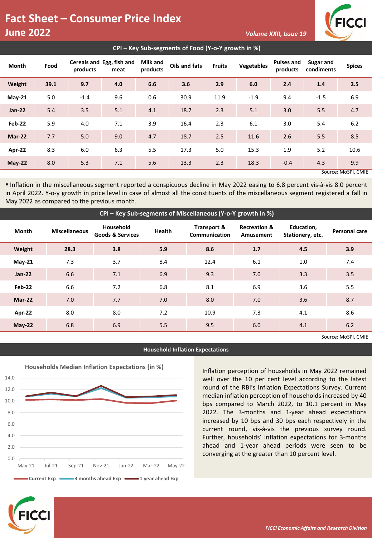### **Fact Sheet – Consumer Price Index June 2022** *Volume XXII, Issue 19 Volume XXII, Issue 19*



| CPI – Key Sub-segments of Food (Y-o-Y growth in %) |      |          |                                   |                             |               |               |                   |                               |                         |               |
|----------------------------------------------------|------|----------|-----------------------------------|-----------------------------|---------------|---------------|-------------------|-------------------------------|-------------------------|---------------|
| <b>Month</b>                                       | Food | products | Cereals and Egg, fish and<br>meat | <b>Milk and</b><br>products | Oils and fats | <b>Fruits</b> | <b>Vegetables</b> | <b>Pulses and</b><br>products | Sugar and<br>condiments | <b>Spices</b> |
| Weight                                             | 39.1 | 9.7      | 4.0                               | 6.6                         | 3.6           | 2.9           | 6.0               | 2.4                           | 1.4                     | 2.5           |
| $May-21$                                           | 5.0  | $-1.4$   | 9.6                               | 0.6                         | 30.9          | 11.9          | $-1.9$            | 9.4                           | $-1.5$                  | 6.9           |
| $Jan-22$                                           | 5.4  | 3.5      | 5.1                               | 4.1                         | 18.7          | 2.3           | 5.1               | 3.0                           | 5.5                     | 4.7           |
| Feb-22                                             | 5.9  | 4.0      | 7.1                               | 3.9                         | 16.4          | 2.3           | 6.1               | 3.0                           | 5.4                     | 6.2           |
| Mar-22                                             | 7.7  | 5.0      | 9.0                               | 4.7                         | 18.7          | 2.5           | 11.6              | 2.6                           | 5.5                     | 8.5           |
| Apr-22                                             | 8.3  | 6.0      | 6.3                               | 5.5                         | 17.3          | 5.0           | 15.3              | 1.9                           | 5.2                     | 10.6          |
| $May-22$                                           | 8.0  | 5.3      | 7.1                               | 5.6                         | 13.3          | 2.3           | 18.3              | $-0.4$                        | 4.3                     | 9.9           |
| Source: MoSPI, CMIE                                |      |          |                                   |                             |               |               |                   |                               |                         |               |

▪ Inflation in the miscellaneous segment reported a conspicuous decline in May 2022 easing to 6.8 percent vis-à-vis 8.0 percent in April 2022. Y-o-y growth in price level in case of almost all the constituents of the miscellaneous segment registered a fall in May 2022 as compared to the previous month.

| CPI - Key Sub-segments of Miscellaneous (Y-o-Y growth in %) |                      |                                          |               |                              |                                      |                                |               |  |  |  |
|-------------------------------------------------------------|----------------------|------------------------------------------|---------------|------------------------------|--------------------------------------|--------------------------------|---------------|--|--|--|
| <b>Month</b>                                                | <b>Miscellaneous</b> | Household<br><b>Goods &amp; Services</b> | <b>Health</b> | Transport &<br>Communication | <b>Recreation &amp;</b><br>Amusement | Education,<br>Stationery, etc. | Personal care |  |  |  |
| Weight                                                      | 28.3                 | 3.8                                      | 5.9           | 8.6                          | 1.7                                  | 4.5                            | 3.9           |  |  |  |
| $May-21$                                                    | 7.3                  | 3.7                                      | 8.4           | 12.4                         | 6.1                                  | 1.0                            | 7.4           |  |  |  |
| $Jan-22$                                                    | 6.6                  | 7.1                                      | 6.9           | 9.3                          | 7.0                                  | 3.3                            | 3.5           |  |  |  |
| Feb-22                                                      | 6.6                  | 7.2                                      | 6.8           | 8.1                          | 6.9                                  | 3.6                            | 5.5           |  |  |  |
| Mar-22                                                      | 7.0                  | 7.7                                      | 7.0           | 8.0                          | 7.0                                  | 3.6                            | 8.7           |  |  |  |
| Apr-22                                                      | 8.0                  | 8.0                                      | 7.2           | 10.9                         | 7.3                                  | 4.1                            | 8.6           |  |  |  |
| $May-22$                                                    | 6.8                  | 6.9                                      | 5.5           | 9.5                          | 6.0                                  | 4.1                            | 6.2           |  |  |  |
| Source: MoSPI, CMIE                                         |                      |                                          |               |                              |                                      |                                |               |  |  |  |



**Household Inflation Expectations**

Inflation perception of households in May 2022 remained well over the 10 per cent level according to the latest round of the RBI's Inflation Expectations Survey. Current median inflation perception of households increased by 40 bps compared to March 2022, to 10.1 percent in May 2022. The 3-months and 1-year ahead expectations increased by 10 bps and 30 bps each respectively in the current round, vis-à-vis the previous survey round. Further, households' inflation expectations for 3-months ahead and 1-year ahead periods were seen to be converging at the greater than 10 percent level.



*FICCI Economic Affairs and Research Division*